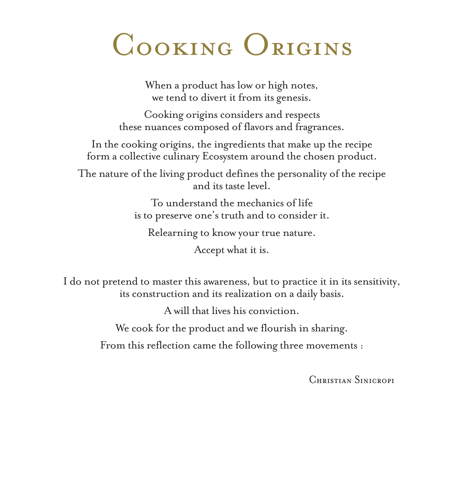# Cooking Origins

When a product has low or high notes, we tend to divert it from its genesis.

Cooking origins considers and respects these nuances composed of flavors and fragrances.

In the cooking origins, the ingredients that make up the recipe form a collective culinary Ecosystem around the chosen product.

The nature of the living product defines the personality of the recipe and its taste level.

> To understand the mechanics of life is to preserve one's truth and to consider it.

Relearning to know your true nature.

Accept what it is.

I do not pretend to master this awareness, but to practice it in its sensitivity, its construction and its realization on a daily basis.

A will that lives his conviction.

We cook for the product and we flourish in sharing.

From this reflection came the following three movements :

Christian Sinicropi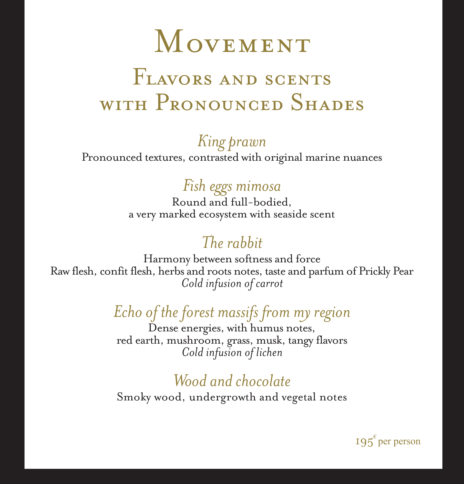# **MOVEMENT**

## FLAVORS AND SCENTS with Pronounced Shades

### *King prawn*

Pronounced textures, contrasted with original marine nuances

## *Fish eggs mimosa*

Round and full-bodied, a very marked ecosystem with seaside scent

## *The rabbit*

Harmony between softness and force Raw flesh, confit flesh, herbs and roots notes, taste and parfum of Prickly Pear *Cold infusion of carrot*

## *Echo of the forest massifs from my region*

Dense energies, with humus notes, red earth, mushroom, grass, musk, tangy flavors *Cold infusion of lichen*

## *Wood and chocolate*

Smoky wood, undergrowth and vegetal notes

 $195^{\epsilon}$  per person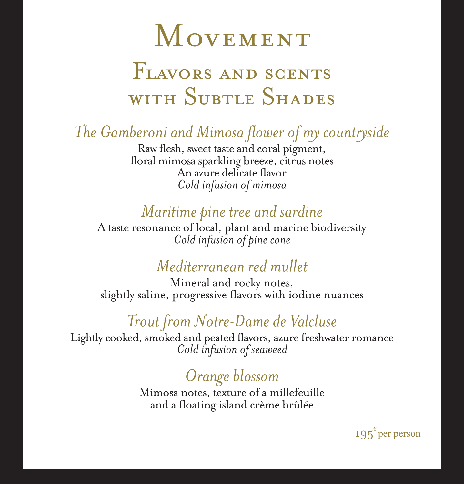# **MOVEMENT** FLAVORS AND SCENTS WITH SUBTLE SHADES

*The Gamberoni and Mimosa flower of my countryside*

Raw flesh, sweet taste and coral pigment, floral mimosa sparkling breeze, citrus notes An azure delicate flavor *Cold infusion of mimosa*

### *Maritime pine tree and sardine*

A taste resonance of local, plant and marine biodiversity *Cold infusion of pine cone*

### *Mediterranean red mullet*

Mineral and rocky notes, slightly saline, progressive flavors with iodine nuances

## *Trout from Notre-Dame de Valcluse*

Lightly cooked, smoked and peated flavors, azure freshwater romance *Cold infusion of seaweed*

*Orange blossom*

Mimosa notes, texture of a millefeuille and a floating island crème brûlée

 $195^{\epsilon}$  per person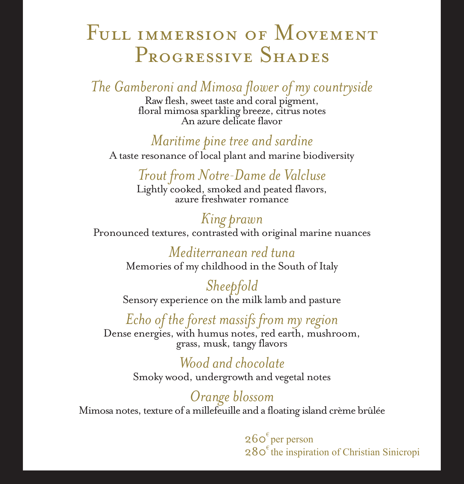## FULL IMMERSION OF MOVEMENT PROGRESSIVE SHADES

*The Gamberoni and Mimosa flower of my countryside*

Raw flesh, sweet taste and coral pigment, floral mimosa sparkling breeze, citrus notes An azure delicate flavor

### *Maritime pine tree and sardine*

A taste resonance of local plant and marine biodiversity

#### *Trout from Notre-Dame de Valcluse*

Lightly cooked, smoked and peated flavors, azure freshwater romance

*King prawn* Pronounced textures, contrasted with original marine nuances

> *Mediterranean red tuna*  Memories of my childhood in the South of Italy

*Sheepfold* Sensory experience on the milk lamb and pasture

*Echo of the forest massifs from my region*  Dense energies, with humus notes, red earth, mushroom, grass, musk, tangy flavors

> *Wood and chocolate* Smoky wood, undergrowth and vegetal notes

## *Orange blossom*

Mimosa notes, texture of a millefeuille and a floating island crème brûlée

 $260^\mathrm{e}$  $260^{\epsilon}$  per person  $280<sup>e</sup>$  the inspiration of Christian Sinicropi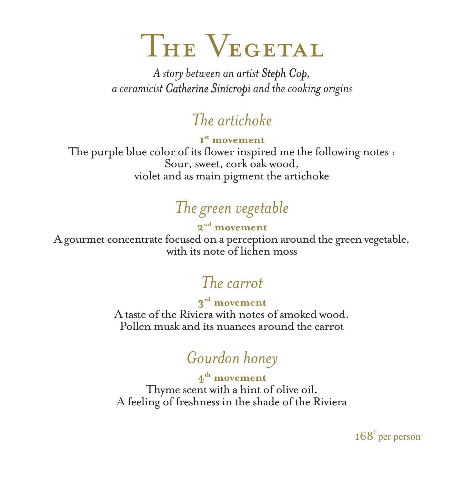# THE VEGETAL

*A story between an artist Steph Cop, a ceramicist Catherine Sinicropi and the cooking origins* 

## *The artichoke*

**1st movement**

The purple blue color of its flower inspired me the following notes : Sour, sweet, cork oak wood, violet and as main pigment the artichoke

## *The green vegetable*

#### **2nd movement**

A gourmet concentrate focused on a perception around the green vegetable, with its note of lichen moss

## *The carrot*

**3rd movement** A taste of the Riviera with notes of smoked wood. Pollen musk and its nuances around the carrot

## *Gourdon honey*

**4th movement** Thyme scent with a hint of olive oil. A feeling of freshness in the shade of the Riviera

 $168^\epsilon$  per person